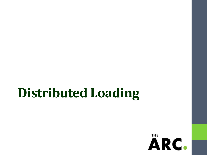## **Distributed Loading**

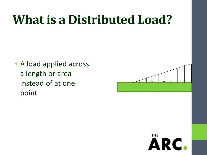#### **What is a Distributed Load?**

• A load applied across a length or area instead of at one point



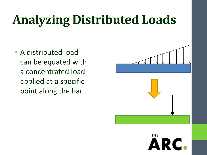## **Analyzing Distributed Loads**

• A distributed load can be equated with a concentrated load applied at a specific point along the bar



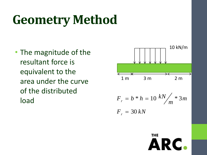### **Geometry Method**

• The magnitude of the resultant force is equivalent to the area under the curve of the distributed load



**THE** 

ARC.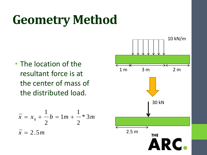#### **Geometry Method**

• The location of the resultant force is at the center of mass of the distributed load.

$$
\overline{x} = x_0 + \frac{1}{2}b = 1m + \frac{1}{2} * 3m
$$
  

$$
\overline{x} = 2.5m
$$

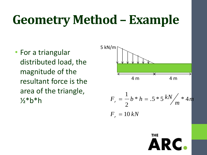## **Geometry Method – Example**

• For a triangular distributed load, the magnitude of the resultant force is the area of the triangle,  $1/2 * b * h$ 



**THE**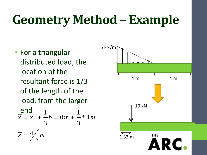### **Geometry Method – Example**

• For a triangular distributed load, the location of the resultant force is 1/3 of the length of the load, from the larger end  $\overline{x}$  =  $\frac{4}{2}$  m  $\overline{x} = x_0 + b = 0$  *m*  $+ b = 4$  *m* 3  $= 4$ 3 1 0 3 1  $= x_0 + \frac{1}{2}b = 0m +$ 

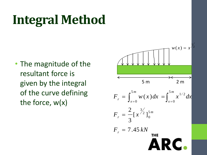# **Integral Method**

• The magnitude of the resultant force is given by the integral of the curve defining the force,  $w(x)$ 

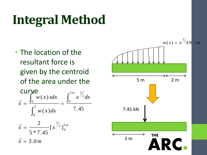# **Integral Method**

• The location of the resultant force is given by the centroid of the area under the



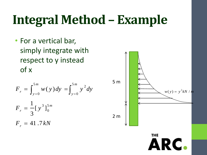## **Integral Method – Example**

• For a vertical bar, simply integrate with respect to y instead of x

$$
F_r = \int_{y=0}^{5m} w(y) dy = \int_{y=0}^{5m} y^2 dy
$$
  
\n
$$
F_r = \frac{1}{3} [y^3]_0^{5m}
$$
  
\n
$$
F_r = 41.7 kN
$$

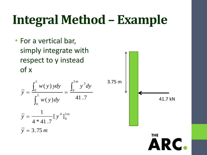## **Integral Method – Example**

• For a vertical bar, simply integrate with respect to y instead of x

$$
\overline{y} = \frac{\int_0^L w(y) \, y \, dy}{\int_0^L w(y) \, dy} = \frac{\int_0^{5m} y^3 \, dy}{41.7}
$$
\n
$$
\overline{y} = \frac{1}{4 \cdot 41.7} \left[ y^4 \right]_0^{5m}
$$
\n
$$
\overline{y} = 3.75 \, m
$$